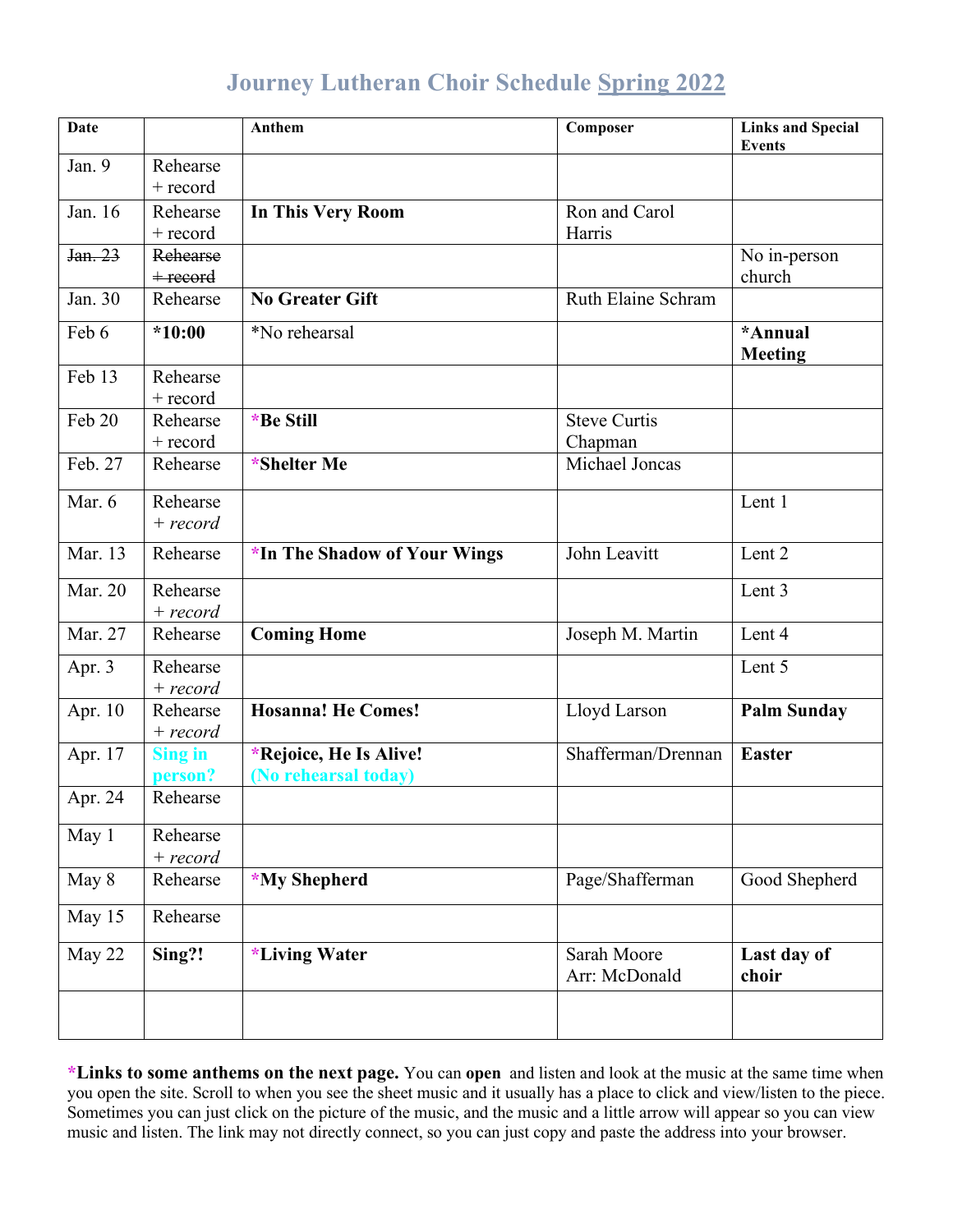## **Journey Lutheran Choir Schedule Spring 2022**

| <b>Date</b> |                | <b>Anthem</b>                | Composer            | <b>Links and Special</b><br><b>Events</b> |
|-------------|----------------|------------------------------|---------------------|-------------------------------------------|
| Jan. 9      | Rehearse       |                              |                     |                                           |
|             | $+$ record     |                              |                     |                                           |
| Jan. 16     | Rehearse       | In This Very Room            | Ron and Carol       |                                           |
|             | + record       |                              | Harris              |                                           |
| Jan. 23     | Rehearse       |                              |                     | No in-person                              |
|             | $+$ record     |                              |                     | church                                    |
| Jan. 30     | Rehearse       | <b>No Greater Gift</b>       | Ruth Elaine Schram  |                                           |
| Feb 6       | $*10:00$       | *No rehearsal                |                     | *Annual                                   |
| Feb 13      | Rehearse       |                              |                     | <b>Meeting</b>                            |
|             |                |                              |                     |                                           |
| Feb 20      | $+$ record     |                              | <b>Steve Curtis</b> |                                           |
|             | Rehearse       | *Be Still                    |                     |                                           |
|             | + record       |                              | Chapman             |                                           |
| Feb. 27     | Rehearse       | *Shelter Me                  | Michael Joncas      |                                           |
| Mar. $6$    | Rehearse       |                              |                     | Lent 1                                    |
|             | $+ record$     |                              |                     |                                           |
| Mar. 13     | Rehearse       | *In The Shadow of Your Wings | John Leavitt        | Lent 2                                    |
| Mar. 20     | Rehearse       |                              |                     | Lent 3                                    |
|             | $+ record$     |                              |                     |                                           |
| Mar. 27     | Rehearse       | <b>Coming Home</b>           | Joseph M. Martin    | Lent 4                                    |
| Apr. 3      | Rehearse       |                              |                     | Lent 5                                    |
|             | $+ record$     |                              |                     |                                           |
| Apr. 10     | Rehearse       | <b>Hosanna! He Comes!</b>    | Lloyd Larson        | <b>Palm Sunday</b>                        |
|             | $+ record$     |                              |                     |                                           |
| Apr. 17     | <b>Sing in</b> | *Rejoice, He Is Alive!       | Shafferman/Drennan  | <b>Easter</b>                             |
|             | person?        | (No rehearsal today)         |                     |                                           |
| Apr. 24     | Rehearse       |                              |                     |                                           |
| May 1       | Rehearse       |                              |                     |                                           |
|             | $+ record$     |                              |                     |                                           |
| May 8       | Rehearse       | *My Shepherd                 | Page/Shafferman     | Good Shepherd                             |
| May 15      | Rehearse       |                              |                     |                                           |
|             |                |                              | Sarah Moore         |                                           |
| May 22      | Sing?!         | *Living Water                | Arr: McDonald       | Last day of<br>choir                      |
|             |                |                              |                     |                                           |
|             |                |                              |                     |                                           |

**\*Links to some anthems on the next page.** You can **open** and listen and look at the music at the same time when you open the site. Scroll to when you see the sheet music and it usually has a place to click and view/listen to the piece. Sometimes you can just click on the picture of the music, and the music and a little arrow will appear so you can view music and listen. The link may not directly connect, so you can just copy and paste the address into your browser.